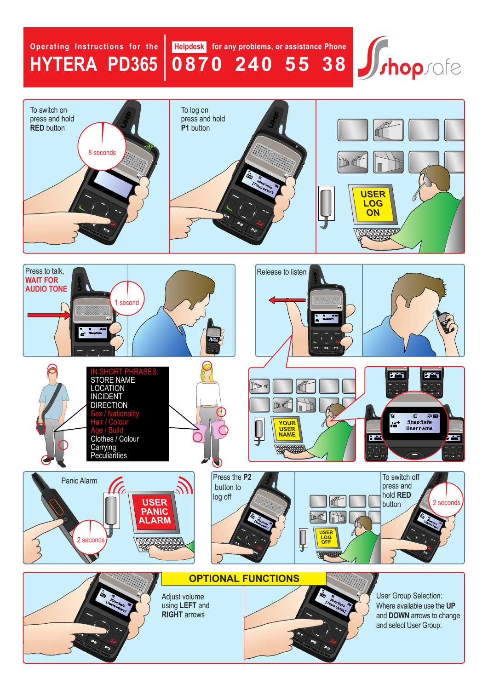## **Operating Instructions for the HYTera Pd365**

**Helpdesk for any problems, or assistance Phone 0870 240 55 38**